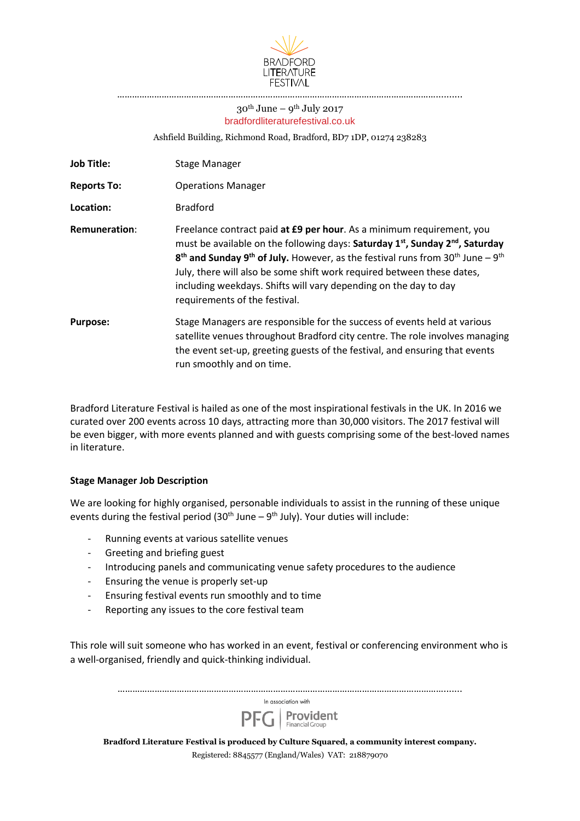

# $30^{\rm th}\,$  June –  $9^{\rm th}\,$  July 2017 bradfordliteraturefestival.co.uk

…………………………………………………………………

Ashfield Building, Richmond Road, Bradford, BD7 1DP, 01274 238283

| <b>Job Title:</b>    | Stage Manager                                                                                                                                                                                                                                                                                                                                                                                                                                                                         |
|----------------------|---------------------------------------------------------------------------------------------------------------------------------------------------------------------------------------------------------------------------------------------------------------------------------------------------------------------------------------------------------------------------------------------------------------------------------------------------------------------------------------|
| <b>Reports To:</b>   | <b>Operations Manager</b>                                                                                                                                                                                                                                                                                                                                                                                                                                                             |
| Location:            | <b>Bradford</b>                                                                                                                                                                                                                                                                                                                                                                                                                                                                       |
| <b>Remuneration:</b> | Freelance contract paid at £9 per hour. As a minimum requirement, you<br>must be available on the following days: Saturday 1 <sup>st</sup> , Sunday 2 <sup>nd</sup> , Saturday<br>$8th$ and Sunday 9 <sup>th</sup> of July. However, as the festival runs from 30 <sup>th</sup> June – 9 <sup>th</sup><br>July, there will also be some shift work required between these dates,<br>including weekdays. Shifts will vary depending on the day to day<br>requirements of the festival. |
| <b>Purpose:</b>      | Stage Managers are responsible for the success of events held at various<br>satellite venues throughout Bradford city centre. The role involves managing<br>the event set-up, greeting guests of the festival, and ensuring that events<br>run smoothly and on time.                                                                                                                                                                                                                  |

Bradford Literature Festival is hailed as one of the most inspirational festivals in the UK. In 2016 we curated over 200 events across 10 days, attracting more than 30,000 visitors. The 2017 festival will be even bigger, with more events planned and with guests comprising some of the best-loved names in literature.

## **Stage Manager Job Description**

We are looking for highly organised, personable individuals to assist in the running of these unique events during the festival period (30<sup>th</sup> June – 9<sup>th</sup> July). Your duties will include:

- Running events at various satellite venues
- Greeting and briefing guest
- Introducing panels and communicating venue safety procedures to the audience
- Ensuring the venue is properly set-up
- Ensuring festival events run smoothly and to time
- Reporting any issues to the core festival team

This role will suit someone who has worked in an event, festival or conferencing environment who is a well-organised, friendly and quick-thinking individual.

|                                                                                            | In association with                                                                                                                                                                                                                                                                                |  |  |  |
|--------------------------------------------------------------------------------------------|----------------------------------------------------------------------------------------------------------------------------------------------------------------------------------------------------------------------------------------------------------------------------------------------------|--|--|--|
|                                                                                            | $\overline{\mathsf{PFG}}$ <b>Provident</b>                                                                                                                                                                                                                                                         |  |  |  |
| Bradford Literature Festival is produced by Culture Squared, a community interest company. |                                                                                                                                                                                                                                                                                                    |  |  |  |
|                                                                                            | $\mathbf{D}$ , $\mathbf{A}$ and $\mathbf{A}$ and $\mathbf{A}$ and $\mathbf{A}$ and $\mathbf{A}$ and $\mathbf{A}$ and $\mathbf{A}$ and $\mathbf{A}$ and $\mathbf{A}$ and $\mathbf{A}$ and $\mathbf{A}$ and $\mathbf{A}$ and $\mathbf{A}$ and $\mathbf{A}$ and $\mathbf{A}$ and $\mathbf{A}$ and $\$ |  |  |  |

Registered: 8845577 (England/Wales) VAT: 218879070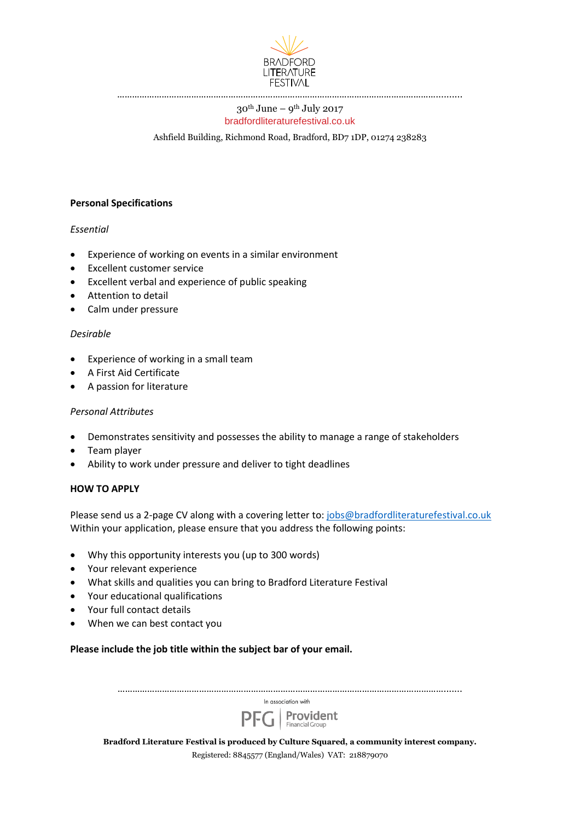

## $30^{\rm th}\,$  June –  $9^{\rm th}\,$  July 2017 bradfordliteraturefestival.co.uk

Ashfield Building, Richmond Road, Bradford, BD7 1DP, 01274 238283

#### **Personal Specifications**

#### *Essential*

- Experience of working on events in a similar environment
- Excellent customer service
- Excellent verbal and experience of public speaking
- Attention to detail
- Calm under pressure

#### *Desirable*

- Experience of working in a small team
- A First Aid Certificate
- A passion for literature

#### *Personal Attributes*

- Demonstrates sensitivity and possesses the ability to manage a range of stakeholders
- Team player
- Ability to work under pressure and deliver to tight deadlines

#### **HOW TO APPLY**

Please send us a 2-page CV along with a covering letter to: [jobs@bradfordliteraturefestival.co.uk](mailto:jobs@bradfordliteraturefestival.co.uk) Within your application, please ensure that you address the following points:

- Why this opportunity interests you (up to 300 words)
- Your relevant experience
- What skills and qualities you can bring to Bradford Literature Festival
- Your educational qualifications
- Your full contact details
- When we can best contact you

## **Please include the job title within the subject bar of your email.**

|                                                                                            | In association with                                |  |  |  |
|--------------------------------------------------------------------------------------------|----------------------------------------------------|--|--|--|
|                                                                                            | $\overline{\mathsf{PFG}}$ <b>Provident</b>         |  |  |  |
| Bradford Literature Festival is produced by Culture Squared, a community interest company. |                                                    |  |  |  |
|                                                                                            | Registered: 8845577 (England/Wales) VAT: 218879070 |  |  |  |